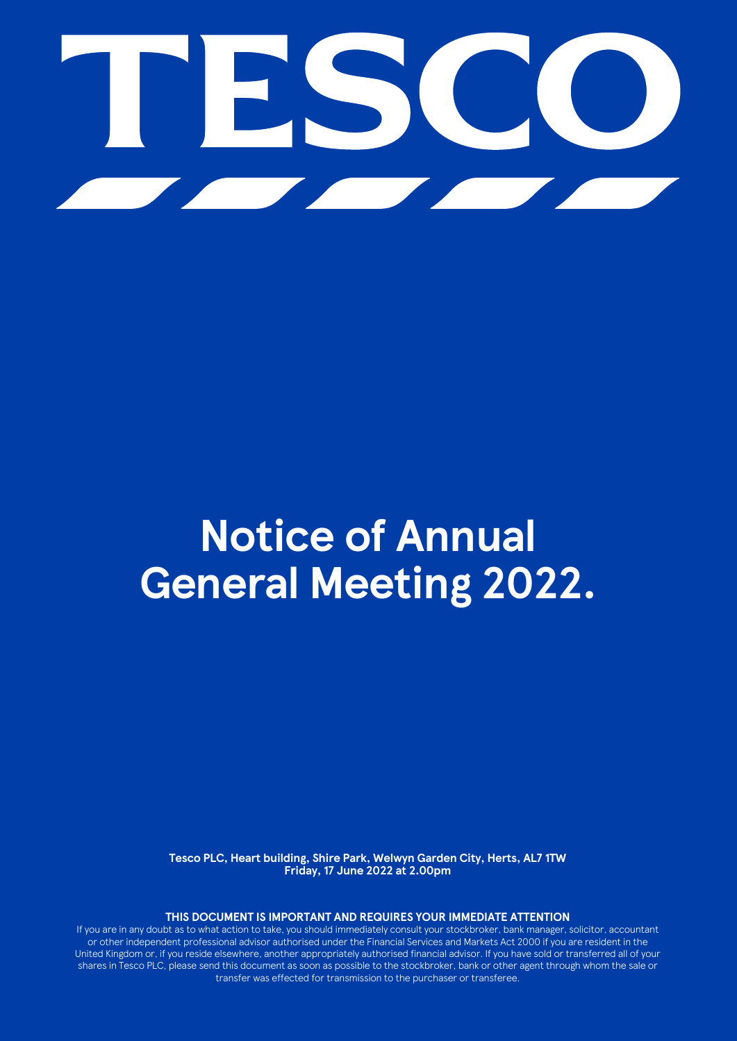

# **Notice of Annual General Meeting 2022.**

**Tesco PLC, Heart building, Shire Park, Welwyn Garden City, Herts, AL7 1TW Friday, 17 June 2022 at 2.00pm**

**THIS DOCUMENT IS IMPORTANT AND REQUIRES YOUR IMMEDIATE ATTENTION**

If you are in any doubt as to what action to take, you should immediately consult your stockbroker, bank manager, solicitor, accountant or other independent professional advisor authorised under the Financial Services and Markets Act 2000 if you are resident in the United Kingdom or, if you reside elsewhere, another appropriately authorised financial advisor. If you have sold or transferred all of your shares in Tesco PLC, please send this document as soon as possible to the stockbroker, bank or other agent through whom the sale or transfer was effected for transmission to the purchaser or transferee.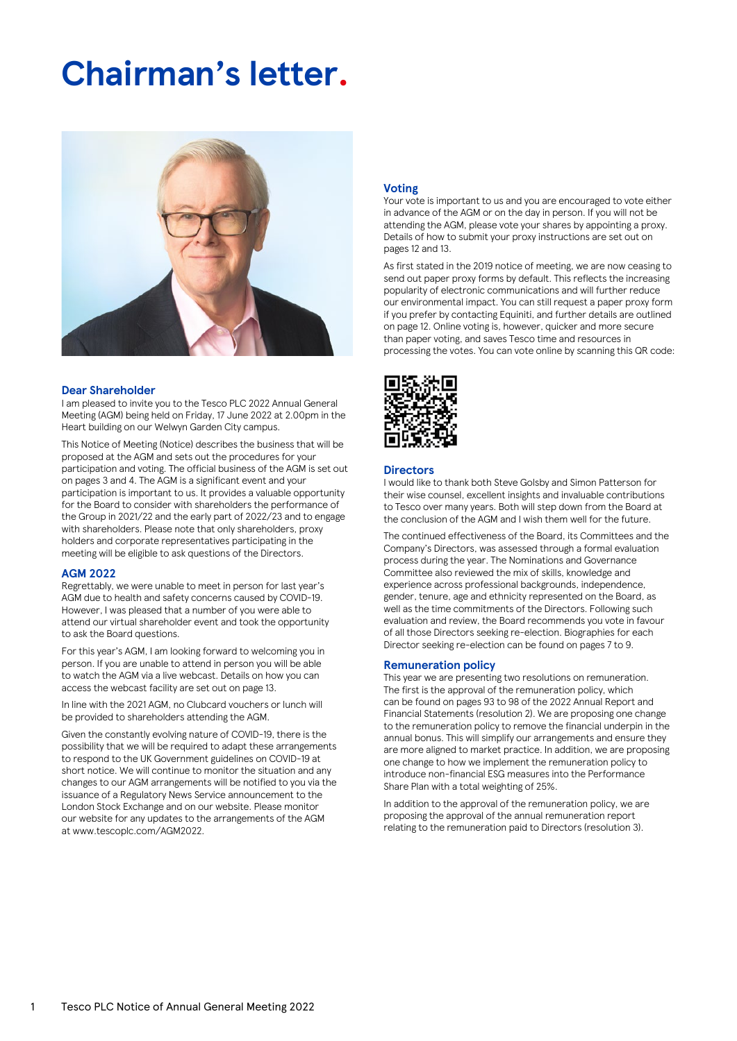# **Chairman's letter.**



# **Dear Shareholder**

I am pleased to invite you to the Tesco PLC 2022 Annual General Meeting (AGM) being held on Friday, 17 June 2022 at 2.00pm in the Heart building on our Welwyn Garden City campus.

This Notice of Meeting (Notice) describes the business that will be proposed at the AGM and sets out the procedures for your participation and voting. The official business of the AGM is set out on pages 3 and 4. The AGM is a significant event and your participation is important to us. It provides a valuable opportunity for the Board to consider with shareholders the performance of the Group in 2021/22 and the early part of 2022/23 and to engage with shareholders. Please note that only shareholders, proxy holders and corporate representatives participating in the meeting will be eligible to ask questions of the Directors.

#### **AGM 2022**

Regrettably, we were unable to meet in person for last year's AGM due to health and safety concerns caused by COVID-19. However, I was pleased that a number of you were able to attend our virtual shareholder event and took the opportunity to ask the Board questions.

For this year's AGM, I am looking forward to welcoming you in person. If you are unable to attend in person you will be able to watch the AGM via a live webcast. Details on how you can access the webcast facility are set out on page 13.

In line with the 2021 AGM, no Clubcard vouchers or lunch will be provided to shareholders attending the AGM.

Given the constantly evolving nature of COVID-19, there is the possibility that we will be required to adapt these arrangements to respond to the UK Government guidelines on COVID-19 at short notice. We will continue to monitor the situation and any changes to our AGM arrangements will be notified to you via the issuance of a Regulatory News Service announcement to the London Stock Exchange and on our website. Please monitor our website for any updates to the arrangements of the AGM at www.tescoplc.com/AGM2022.

# **Voting**

Your vote is important to us and you are encouraged to vote either in advance of the AGM or on the day in person. If you will not be attending the AGM, please vote your shares by appointing a proxy. Details of how to submit your proxy instructions are set out on pages 12 and 13.

As first stated in the 2019 notice of meeting, we are now ceasing to send out paper proxy forms by default. This reflects the increasing popularity of electronic communications and will further reduce our environmental impact. You can still request a paper proxy form if you prefer by contacting Equiniti, and further details are outlined on page 12. Online voting is, however, quicker and more secure than paper voting, and saves Tesco time and resources in processing the votes. You can vote online by scanning this QR code:



#### **Directors**

I would like to thank both Steve Golsby and Simon Patterson for their wise counsel, excellent insights and invaluable contributions to Tesco over many years. Both will step down from the Board at the conclusion of the AGM and I wish them well for the future.

The continued effectiveness of the Board, its Committees and the Company's Directors, was assessed through a formal evaluation process during the year. The Nominations and Governance Committee also reviewed the mix of skills, knowledge and experience across professional backgrounds, independence, gender, tenure, age and ethnicity represented on the Board, as well as the time commitments of the Directors. Following such evaluation and review, the Board recommends you vote in favour of all those Directors seeking re-election. Biographies for each Director seeking re-election can be found on pages 7 to 9.

#### **Remuneration policy**

This year we are presenting two resolutions on remuneration. The first is the approval of the remuneration policy, which can be found on pages 93 to 98 of the 2022 Annual Report and Financial Statements (resolution 2). We are proposing one change to the remuneration policy to remove the financial underpin in the annual bonus. This will simplify our arrangements and ensure they are more aligned to market practice. In addition, we are proposing one change to how we implement the remuneration policy to introduce non-financial ESG measures into the Performance Share Plan with a total weighting of 25%.

In addition to the approval of the remuneration policy, we are proposing the approval of the annual remuneration report relating to the remuneration paid to Directors (resolution 3).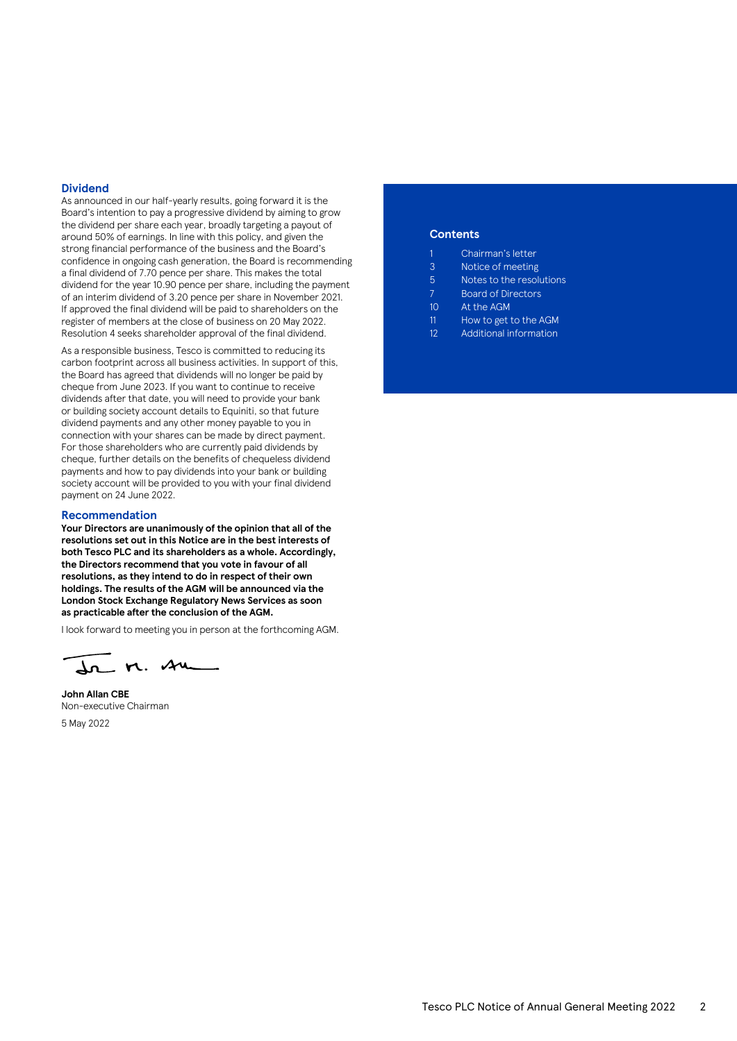# **Dividend**

As announced in our half-yearly results, going forward it is the Board's intention to pay a progressive dividend by aiming to grow the dividend per share each year, broadly targeting a payout of around 50% of earnings. In line with this policy, and given the strong financial performance of the business and the Board's confidence in ongoing cash generation, the Board is recommending a final dividend of 7.70 pence per share. This makes the total dividend for the year 10.90 pence per share, including the payment of an interim dividend of 3.20 pence per share in November 2021. If approved the final dividend will be paid to shareholders on the register of members at the close of business on 20 May 2022. Resolution 4 seeks shareholder approval of the final dividend.

As a responsible business, Tesco is committed to reducing its carbon footprint across all business activities. In support of this, the Board has agreed that dividends will no longer be paid by cheque from June 2023. If you want to continue to receive dividends after that date, you will need to provide your bank or building society account details to Equiniti, so that future dividend payments and any other money payable to you in connection with your shares can be made by direct payment. For those shareholders who are currently paid dividends by cheque, further details on the benefits of chequeless dividend payments and how to pay dividends into your bank or building society account will be provided to you with your final dividend payment on 24 June 2022.

#### **Recommendation**

**Your Directors are unanimously of the opinion that all of the resolutions set out in this Notice are in the best interests of both Tesco PLC and its shareholders as a whole. Accordingly, the Directors recommend that you vote in favour of all resolutions, as they intend to do in respect of their own holdings. The results of the AGM will be announced via the London Stock Exchange Regulatory News Services as soon as practicable after the conclusion of the AGM.** 

I look forward to meeting you in person at the forthcoming AGM.

dr M. Am

**John Allan CBE** Non-executive Chairman 5 May 2022

# **Contents**

- 1 Chairman's letter
- 3 Notice of meeting
- 5 Notes to the resolutions
- 7 Board of Directors
- 10 At the AGM
- 11 How to get to the AGM
- 12 Additional information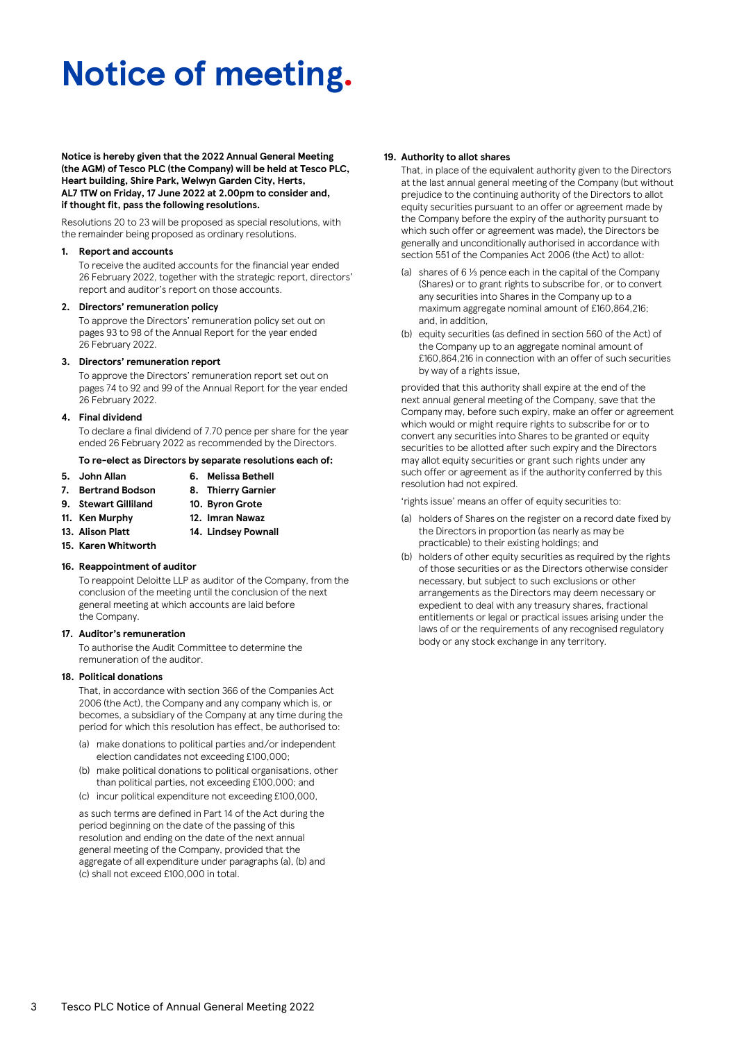# **Notice of meeting.**

**Notice is hereby given that the 2022 Annual General Meeting (the AGM) of Tesco PLC (the Company) will be held at Tesco PLC, Heart building, Shire Park, Welwyn Garden City, Herts, AL7 1TW on Friday, 17 June 2022 at 2.00pm to consider and, if thought fit, pass the following resolutions.**

Resolutions 20 to 23 will be proposed as special resolutions, with the remainder being proposed as ordinary resolutions.

#### **1. Report and accounts**

To receive the audited accounts for the financial year ended 26 February 2022, together with the strategic report, directors' report and auditor's report on those accounts.

#### **2. Directors' remuneration policy**

To approve the Directors' remuneration policy set out on pages 93 to 98 of the Annual Report for the year ended 26 February 2022.

# **3. Directors' remuneration report**

To approve the Directors' remuneration report set out on pages 74 to 92 and 99 of the Annual Report for the year ended 26 February 2022.

# **4. Final dividend**

To declare a final dividend of 7.70 pence per share for the year ended 26 February 2022 as recommended by the Directors.

#### **To re-elect as Directors by separate resolutions each of:**

- 
- **5. John Allan 6. Melissa Bethell**
- **7. Bertrand Bodson 8. Thierry Garnier**
- **9. Stewart Gilliland 10. Byron Grote**
- **11. Ken Murphy 12. Imran Nawaz**
- 
- **13. Alison Platt 14. Lindsey Pownall**
- **15. Karen Whitworth**

# **16. Reappointment of auditor**

To reappoint Deloitte LLP as auditor of the Company, from the conclusion of the meeting until the conclusion of the next general meeting at which accounts are laid before the Company.

#### **17. Auditor's remuneration**

To authorise the Audit Committee to determine the remuneration of the auditor.

# **18. Political donations**

That, in accordance with section 366 of the Companies Act 2006 (the Act), the Company and any company which is, or becomes, a subsidiary of the Company at any time during the period for which this resolution has effect, be authorised to:

- (a) make donations to political parties and/or independent election candidates not exceeding £100,000;
- (b) make political donations to political organisations, other than political parties, not exceeding £100,000; and
- (c) incur political expenditure not exceeding £100,000,

as such terms are defined in Part 14 of the Act during the period beginning on the date of the passing of this resolution and ending on the date of the next annual general meeting of the Company, provided that the aggregate of all expenditure under paragraphs (a), (b) and (c) shall not exceed £100,000 in total.

# **19. Authority to allot shares**

That, in place of the equivalent authority given to the Directors at the last annual general meeting of the Company (but without prejudice to the continuing authority of the Directors to allot equity securities pursuant to an offer or agreement made by the Company before the expiry of the authority pursuant to which such offer or agreement was made), the Directors be generally and unconditionally authorised in accordance with section 551 of the Companies Act 2006 (the Act) to allot:

- (a) shares of  $6\frac{1}{3}$  pence each in the capital of the Company (Shares) or to grant rights to subscribe for, or to convert any securities into Shares in the Company up to a maximum aggregate nominal amount of £160,864,216; and, in addition,
- (b) equity securities (as defined in section 560 of the Act) of the Company up to an aggregate nominal amount of £160,864,216 in connection with an offer of such securities by way of a rights issue,

provided that this authority shall expire at the end of the next annual general meeting of the Company, save that the Company may, before such expiry, make an offer or agreement which would or might require rights to subscribe for or to convert any securities into Shares to be granted or equity securities to be allotted after such expiry and the Directors may allot equity securities or grant such rights under any such offer or agreement as if the authority conferred by this resolution had not expired.

'rights issue' means an offer of equity securities to:

- (a) holders of Shares on the register on a record date fixed by the Directors in proportion (as nearly as may be practicable) to their existing holdings; and
- (b) holders of other equity securities as required by the rights of those securities or as the Directors otherwise consider necessary, but subject to such exclusions or other arrangements as the Directors may deem necessary or expedient to deal with any treasury shares, fractional entitlements or legal or practical issues arising under the laws of or the requirements of any recognised regulatory body or any stock exchange in any territory.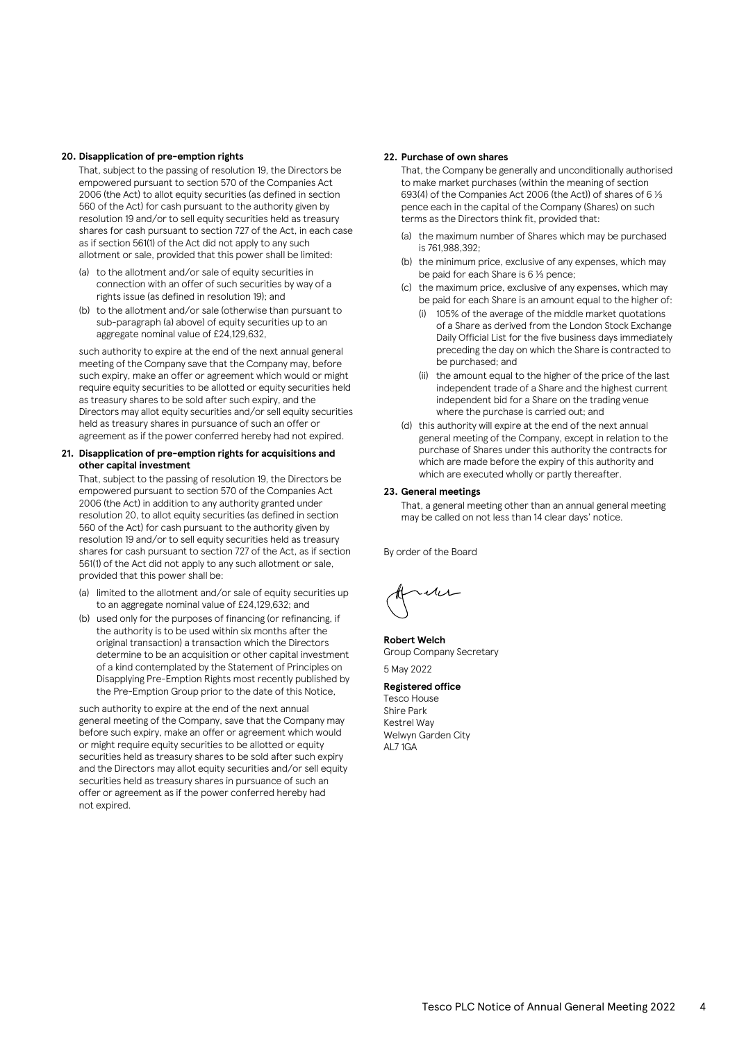# **20. Disapplication of pre-emption rights**

That, subject to the passing of resolution 19, the Directors be empowered pursuant to section 570 of the Companies Act 2006 (the Act) to allot equity securities (as defined in section 560 of the Act) for cash pursuant to the authority given by resolution 19 and/or to sell equity securities held as treasury shares for cash pursuant to section 727 of the Act, in each case as if section 561(1) of the Act did not apply to any such allotment or sale, provided that this power shall be limited:

- (a) to the allotment and/or sale of equity securities in connection with an offer of such securities by way of a rights issue (as defined in resolution 19); and
- (b) to the allotment and/or sale (otherwise than pursuant to sub-paragraph (a) above) of equity securities up to an aggregate nominal value of £24,129,632,

such authority to expire at the end of the next annual general meeting of the Company save that the Company may, before such expiry, make an offer or agreement which would or might require equity securities to be allotted or equity securities held as treasury shares to be sold after such expiry, and the Directors may allot equity securities and/or sell equity securities held as treasury shares in pursuance of such an offer or agreement as if the power conferred hereby had not expired.

# **21. Disapplication of pre-emption rights for acquisitions and other capital investment**

That, subject to the passing of resolution 19, the Directors be empowered pursuant to section 570 of the Companies Act 2006 (the Act) in addition to any authority granted under resolution 20, to allot equity securities (as defined in section 560 of the Act) for cash pursuant to the authority given by resolution 19 and/or to sell equity securities held as treasury shares for cash pursuant to section 727 of the Act, as if section 561(1) of the Act did not apply to any such allotment or sale, provided that this power shall be:

- (a) limited to the allotment and/or sale of equity securities up to an aggregate nominal value of £24,129,632; and
- (b) used only for the purposes of financing (or refinancing, if the authority is to be used within six months after the original transaction) a transaction which the Directors determine to be an acquisition or other capital investment of a kind contemplated by the Statement of Principles on Disapplying Pre-Emption Rights most recently published by the Pre-Emption Group prior to the date of this Notice,

such authority to expire at the end of the next annual general meeting of the Company, save that the Company may before such expiry, make an offer or agreement which would or might require equity securities to be allotted or equity securities held as treasury shares to be sold after such expiry and the Directors may allot equity securities and/or sell equity securities held as treasury shares in pursuance of such an offer or agreement as if the power conferred hereby had not expired.

# **22. Purchase of own shares**

That, the Company be generally and unconditionally authorised to make market purchases (within the meaning of section 693(4) of the Companies Act 2006 (the Act)) of shares of 6  $\frac{1}{3}$ pence each in the capital of the Company (Shares) on such terms as the Directors think fit, provided that:

- (a) the maximum number of Shares which may be purchased is 761,988,392;
- (b) the minimum price, exclusive of any expenses, which may be paid for each Share is 6 1/3 pence;
- (c) the maximum price, exclusive of any expenses, which may be paid for each Share is an amount equal to the higher of:
	- (i) 105% of the average of the middle market quotations of a Share as derived from the London Stock Exchange Daily Official List for the five business days immediately preceding the day on which the Share is contracted to be purchased; and
	- (ii) the amount equal to the higher of the price of the last independent trade of a Share and the highest current independent bid for a Share on the trading venue where the purchase is carried out; and
- (d) this authority will expire at the end of the next annual general meeting of the Company, except in relation to the purchase of Shares under this authority the contracts for which are made before the expiry of this authority and which are executed wholly or partly thereafter.

#### **23. General meetings**

That, a general meeting other than an annual general meeting may be called on not less than 14 clear days' notice.

By order of the Board

**Robert Welch** Group Company Secretary 5 May 2022

# **Registered office**

Tesco House Shire Park Kestrel Way Welwyn Garden City AL7 1GA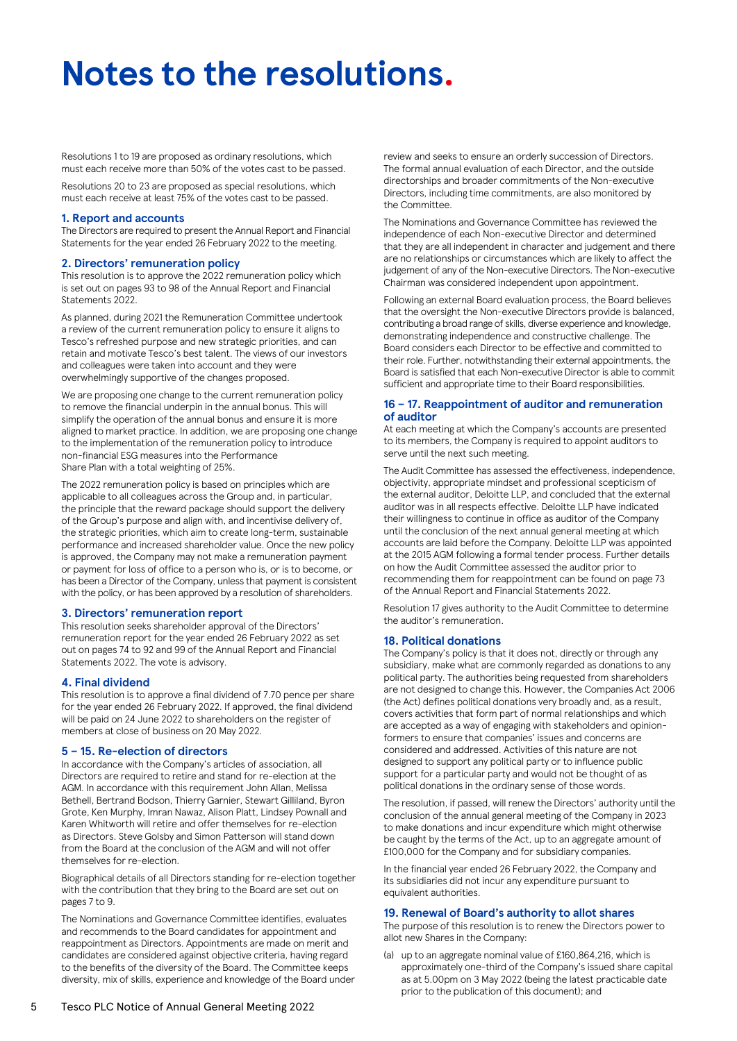# **Notes to the resolutions.**

Resolutions 1 to 19 are proposed as ordinary resolutions, which must each receive more than 50% of the votes cast to be passed.

Resolutions 20 to 23 are proposed as special resolutions, which must each receive at least 75% of the votes cast to be passed.

# **1. Report and accounts**

The Directors are required to present the Annual Report and Financial Statements for the year ended 26 February 2022 to the meeting.

# **2. Directors' remuneration policy**

This resolution is to approve the 2022 remuneration policy which is set out on pages 93 to 98 of the Annual Report and Financial Statements 2022.

As planned, during 2021 the Remuneration Committee undertook a review of the current remuneration policy to ensure it aligns to Tesco's refreshed purpose and new strategic priorities, and can retain and motivate Tesco's best talent. The views of our investors and colleagues were taken into account and they were overwhelmingly supportive of the changes proposed.

We are proposing one change to the current remuneration policy to remove the financial underpin in the annual bonus. This will simplify the operation of the annual bonus and ensure it is more aligned to market practice. In addition, we are proposing one change to the implementation of the remuneration policy to introduce non-financial ESG measures into the Performance Share Plan with a total weighting of 25%.

The 2022 remuneration policy is based on principles which are applicable to all colleagues across the Group and, in particular, the principle that the reward package should support the delivery of the Group's purpose and align with, and incentivise delivery of, the strategic priorities, which aim to create long-term, sustainable performance and increased shareholder value. Once the new policy is approved, the Company may not make a remuneration payment or payment for loss of office to a person who is, or is to become, or has been a Director of the Company, unless that payment is consistent with the policy, or has been approved by a resolution of shareholders.

# **3. Directors' remuneration report**

This resolution seeks shareholder approval of the Directors' remuneration report for the year ended 26 February 2022 as set out on pages 74 to 92 and 99 of the Annual Report and Financial Statements 2022. The vote is advisory.

# **4. Final dividend**

This resolution is to approve a final dividend of 7.70 pence per share for the year ended 26 February 2022. If approved, the final dividend will be paid on 24 June 2022 to shareholders on the register of members at close of business on 20 May 2022.

# **5 – 15. Re-election of directors**

In accordance with the Company's articles of association, all Directors are required to retire and stand for re-election at the AGM. In accordance with this requirement John Allan, Melissa Bethell, Bertrand Bodson, Thierry Garnier, Stewart Gilliland, Byron Grote, Ken Murphy, Imran Nawaz, Alison Platt, Lindsey Pownall and Karen Whitworth will retire and offer themselves for re-election as Directors. Steve Golsby and Simon Patterson will stand down from the Board at the conclusion of the AGM and will not offer themselves for re-election.

Biographical details of all Directors standing for re-election together with the contribution that they bring to the Board are set out on pages 7 to 9.

The Nominations and Governance Committee identifies, evaluates and recommends to the Board candidates for appointment and reappointment as Directors. Appointments are made on merit and candidates are considered against objective criteria, having regard to the benefits of the diversity of the Board. The Committee keeps diversity, mix of skills, experience and knowledge of the Board under review and seeks to ensure an orderly succession of Directors. The formal annual evaluation of each Director, and the outside directorships and broader commitments of the Non-executive Directors, including time commitments, are also monitored by the Committee.

The Nominations and Governance Committee has reviewed the independence of each Non-executive Director and determined that they are all independent in character and judgement and there are no relationships or circumstances which are likely to affect the judgement of any of the Non-executive Directors. The Non-executive Chairman was considered independent upon appointment.

Following an external Board evaluation process, the Board believes that the oversight the Non-executive Directors provide is balanced, contributing a broad range of skills, diverse experience and knowledge, demonstrating independence and constructive challenge. The Board considers each Director to be effective and committed to their role. Further, notwithstanding their external appointments, the Board is satisfied that each Non-executive Director is able to commit sufficient and appropriate time to their Board responsibilities.

# **16 – 17. Reappointment of auditor and remuneration of auditor**

At each meeting at which the Company's accounts are presented to its members, the Company is required to appoint auditors to serve until the next such meeting.

The Audit Committee has assessed the effectiveness, independence, objectivity, appropriate mindset and professional scepticism of the external auditor, Deloitte LLP, and concluded that the external auditor was in all respects effective. Deloitte LLP have indicated their willingness to continue in office as auditor of the Company until the conclusion of the next annual general meeting at which accounts are laid before the Company. Deloitte LLP was appointed at the 2015 AGM following a formal tender process. Further details on how the Audit Committee assessed the auditor prior to recommending them for reappointment can be found on page 73 of the Annual Report and Financial Statements 2022.

Resolution 17 gives authority to the Audit Committee to determine the auditor's remuneration.

# **18. Political donations**

The Company's policy is that it does not, directly or through any subsidiary, make what are commonly regarded as donations to any political party. The authorities being requested from shareholders are not designed to change this. However, the Companies Act 2006 (the Act) defines political donations very broadly and, as a result, covers activities that form part of normal relationships and which are accepted as a way of engaging with stakeholders and opinionformers to ensure that companies' issues and concerns are considered and addressed. Activities of this nature are not designed to support any political party or to influence public support for a particular party and would not be thought of as political donations in the ordinary sense of those words.

The resolution, if passed, will renew the Directors' authority until the conclusion of the annual general meeting of the Company in 2023 to make donations and incur expenditure which might otherwise be caught by the terms of the Act, up to an aggregate amount of £100,000 for the Company and for subsidiary companies.

In the financial year ended 26 February 2022, the Company and its subsidiaries did not incur any expenditure pursuant to equivalent authorities.

# **19. Renewal of Board's authority to allot shares**

The purpose of this resolution is to renew the Directors power to allot new Shares in the Company:

(a) up to an aggregate nominal value of £160,864,216, which is approximately one-third of the Company's issued share capital as at 5.00pm on 3 May 2022 (being the latest practicable date prior to the publication of this document); and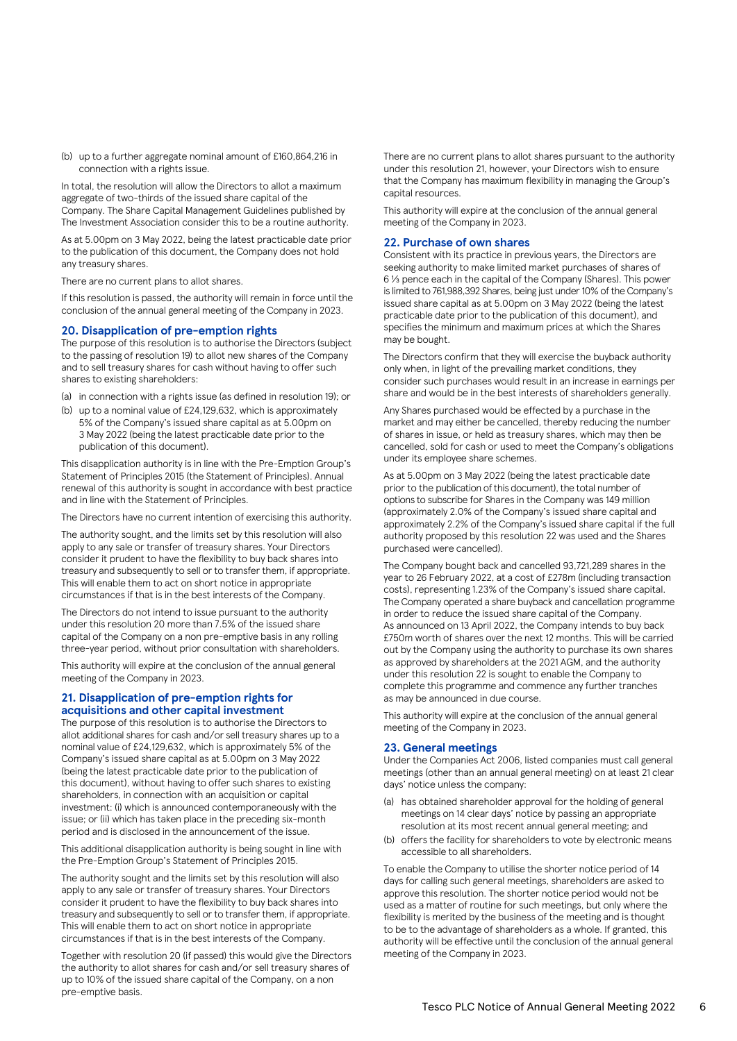(b) up to a further aggregate nominal amount of £160,864,216 in connection with a rights issue.

In total, the resolution will allow the Directors to allot a maximum aggregate of two-thirds of the issued share capital of the Company. The Share Capital Management Guidelines published by The Investment Association consider this to be a routine authority.

As at 5.00pm on 3 May 2022, being the latest practicable date prior to the publication of this document, the Company does not hold any treasury shares.

There are no current plans to allot shares.

If this resolution is passed, the authority will remain in force until the conclusion of the annual general meeting of the Company in 2023.

# **20. Disapplication of pre-emption rights**

The purpose of this resolution is to authorise the Directors (subject to the passing of resolution 19) to allot new shares of the Company and to sell treasury shares for cash without having to offer such shares to existing shareholders:

- (a) in connection with a rights issue (as defined in resolution 19); or
- (b) up to a nominal value of £24,129,632, which is approximately 5% of the Company's issued share capital as at 5.00pm on 3 May 2022 (being the latest practicable date prior to the publication of this document).

This disapplication authority is in line with the Pre-Emption Group's Statement of Principles 2015 (the Statement of Principles). Annual renewal of this authority is sought in accordance with best practice and in line with the Statement of Principles.

The Directors have no current intention of exercising this authority.

The authority sought, and the limits set by this resolution will also apply to any sale or transfer of treasury shares. Your Directors consider it prudent to have the flexibility to buy back shares into treasury and subsequently to sell or to transfer them, if appropriate. This will enable them to act on short notice in appropriate circumstances if that is in the best interests of the Company.

The Directors do not intend to issue pursuant to the authority under this resolution 20 more than 7.5% of the issued share capital of the Company on a non pre-emptive basis in any rolling three-year period, without prior consultation with shareholders.

This authority will expire at the conclusion of the annual general meeting of the Company in 2023.

# **21. Disapplication of pre-emption rights for acquisitions and other capital investment**

The purpose of this resolution is to authorise the Directors to allot additional shares for cash and/or sell treasury shares up to a nominal value of £24,129,632, which is approximately 5% of the Company's issued share capital as at 5.00pm on 3 May 2022 (being the latest practicable date prior to the publication of this document), without having to offer such shares to existing shareholders, in connection with an acquisition or capital investment: (i) which is announced contemporaneously with the issue; or (ii) which has taken place in the preceding six-month period and is disclosed in the announcement of the issue.

This additional disapplication authority is being sought in line with the Pre-Emption Group's Statement of Principles 2015.

The authority sought and the limits set by this resolution will also apply to any sale or transfer of treasury shares. Your Directors consider it prudent to have the flexibility to buy back shares into treasury and subsequently to sell or to transfer them, if appropriate. This will enable them to act on short notice in appropriate circumstances if that is in the best interests of the Company.

Together with resolution 20 (if passed) this would give the Directors the authority to allot shares for cash and/or sell treasury shares of up to 10% of the issued share capital of the Company, on a non pre-emptive basis.

There are no current plans to allot shares pursuant to the authority under this resolution 21, however, your Directors wish to ensure that the Company has maximum flexibility in managing the Group's capital resources.

This authority will expire at the conclusion of the annual general meeting of the Company in 2023.

# **22. Purchase of own shares**

Consistent with its practice in previous years, the Directors are seeking authority to make limited market purchases of shares of 6 1/3 pence each in the capital of the Company (Shares). This power is limited to 761,988,392 Shares, being just under 10% of the Company's issued share capital as at 5.00pm on 3 May 2022 (being the latest practicable date prior to the publication of this document), and specifies the minimum and maximum prices at which the Shares may be bought.

The Directors confirm that they will exercise the buyback authority only when, in light of the prevailing market conditions, they consider such purchases would result in an increase in earnings per share and would be in the best interests of shareholders generally.

Any Shares purchased would be effected by a purchase in the market and may either be cancelled, thereby reducing the number of shares in issue, or held as treasury shares, which may then be cancelled, sold for cash or used to meet the Company's obligations under its employee share schemes.

As at 5.00pm on 3 May 2022 (being the latest practicable date prior to the publication of this document), the total number of options to subscribe for Shares in the Company was 149 million (approximately 2.0% of the Company's issued share capital and approximately 2.2% of the Company's issued share capital if the full authority proposed by this resolution 22 was used and the Shares purchased were cancelled).

The Company bought back and cancelled 93,721,289 shares in the year to 26 February 2022, at a cost of £278m (including transaction costs), representing 1.23% of the Company's issued share capital. The Company operated a share buyback and cancellation programme in order to reduce the issued share capital of the Company. As announced on 13 April 2022, the Company intends to buy back £750m worth of shares over the next 12 months. This will be carried out by the Company using the authority to purchase its own shares as approved by shareholders at the 2021 AGM, and the authority under this resolution 22 is sought to enable the Company to complete this programme and commence any further tranches as may be announced in due course.

This authority will expire at the conclusion of the annual general meeting of the Company in 2023.

# **23. General meetings**

Under the Companies Act 2006, listed companies must call general meetings (other than an annual general meeting) on at least 21 clear days' notice unless the company:

- (a) has obtained shareholder approval for the holding of general meetings on 14 clear days' notice by passing an appropriate resolution at its most recent annual general meeting; and
- (b) offers the facility for shareholders to vote by electronic means accessible to all shareholders.

To enable the Company to utilise the shorter notice period of 14 days for calling such general meetings, shareholders are asked to approve this resolution. The shorter notice period would not be used as a matter of routine for such meetings, but only where the flexibility is merited by the business of the meeting and is thought to be to the advantage of shareholders as a whole. If granted, this authority will be effective until the conclusion of the annual general meeting of the Company in 2023.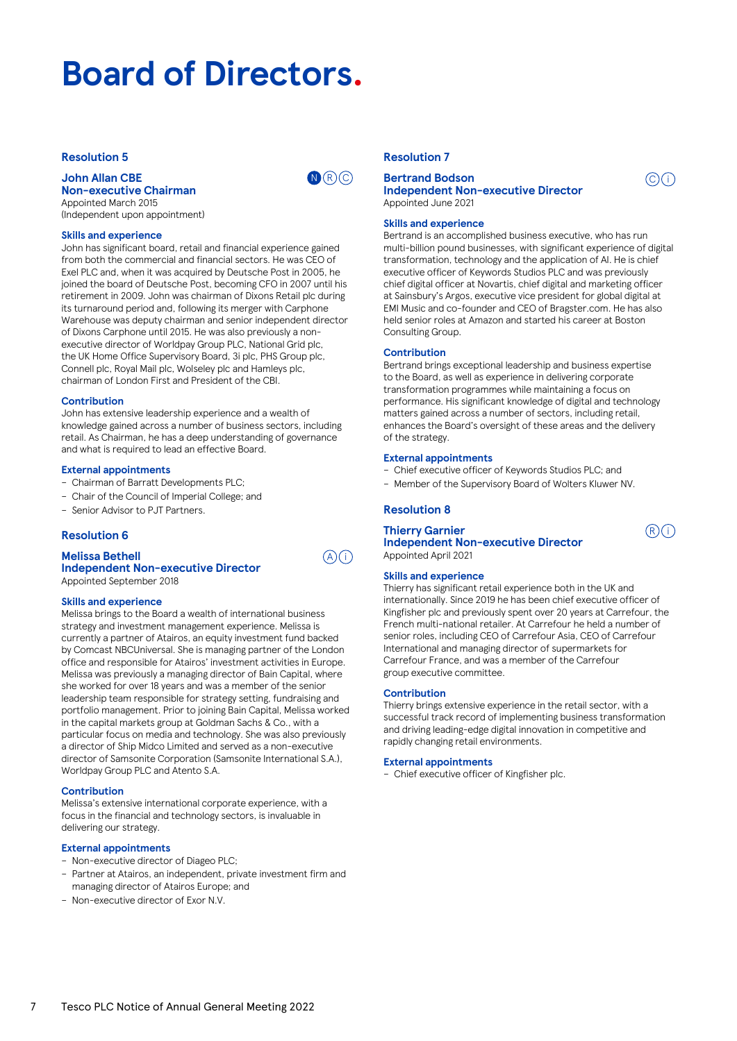# **Board of Directors.**

# **Resolution 5**

# **John Allan CBE Non-executive Chairman**

Appointed March 2015 (Independent upon appointment)

# **Skills and experience**

John has significant board, retail and financial experience gained from both the commercial and financial sectors. He was CEO of Exel PLC and, when it was acquired by Deutsche Post in 2005, he joined the board of Deutsche Post, becoming CFO in 2007 until his retirement in 2009. John was chairman of Dixons Retail plc during its turnaround period and, following its merger with Carphone Warehouse was deputy chairman and senior independent director of Dixons Carphone until 2015. He was also previously a nonexecutive director of Worldpay Group PLC, National Grid plc, the UK Home Office Supervisory Board, 3i plc, PHS Group plc, Connell plc, Royal Mail plc, Wolseley plc and Hamleys plc, chairman of London First and President of the CBI.

# **Contribution**

John has extensive leadership experience and a wealth of knowledge gained across a number of business sectors, including retail. As Chairman, he has a deep understanding of governance and what is required to lead an effective Board.

# **External appointments**

- Chairman of Barratt Developments PLC;
- Chair of the Council of Imperial College; and
- Senior Advisor to PJT Partners.

# **Resolution 6**

**Melissa Bethell Independent Non-executive Director**

Appointed September 2018

# **Skills and experience**

Melissa brings to the Board a wealth of international business strategy and investment management experience. Melissa is currently a partner of Atairos, an equity investment fund backed by Comcast NBCUniversal. She is managing partner of the London office and responsible for Atairos' investment activities in Europe. Melissa was previously a managing director of Bain Capital, where she worked for over 18 years and was a member of the senior leadership team responsible for strategy setting, fundraising and portfolio management. Prior to joining Bain Capital, Melissa worked in the capital markets group at Goldman Sachs & Co., with a particular focus on media and technology. She was also previously a director of Ship Midco Limited and served as a non-executive director of Samsonite Corporation (Samsonite International S.A.), Worldpay Group PLC and Atento S.A.

# **Contribution**

Melissa's extensive international corporate experience, with a focus in the financial and technology sectors, is invaluable in delivering our strategy.

# **External appointments**

– Non-executive director of Diageo PLC;

- Partner at Atairos, an independent, private investment firm and managing director of Atairos Europe; and
- Non-executive director of Exor N.V.

# **Resolution 7**

 $\mathbf{N}(\mathbb{R})$   $\odot$ 

 $\mathcal{A}(\overline{\mathbf{i}})$ 

# **Bertrand Bodson Independent Non-executive Director**

Appointed June 2021

# **Skills and experience**

Bertrand is an accomplished business executive, who has run multi-billion pound businesses, with significant experience of digital transformation, technology and the application of AI. He is chief executive officer of Keywords Studios PLC and was previously chief digital officer at Novartis, chief digital and marketing officer at Sainsbury's Argos, executive vice president for global digital at EMI Music and co-founder and CEO of Bragster.com. He has also held senior roles at Amazon and started his career at Boston Consulting Group.

 $\odot$  (i)

 $(R)$  $(i)$ 

# **Contribution**

Bertrand brings exceptional leadership and business expertise to the Board, as well as experience in delivering corporate transformation programmes while maintaining a focus on performance. His significant knowledge of digital and technology matters gained across a number of sectors, including retail, enhances the Board's oversight of these areas and the delivery of the strategy.

# **External appointments**

- Chief executive officer of Keywords Studios PLC; and
- Member of the Supervisory Board of Wolters Kluwer NV.

# **Resolution 8**

# **Thierry Garnier**

**Independent Non-executive Director** Appointed April 2021

# **Skills and experience**

Thierry has significant retail experience both in the UK and internationally. Since 2019 he has been chief executive officer of Kingfisher plc and previously spent over 20 years at Carrefour, the French multi-national retailer. At Carrefour he held a number of senior roles, including CEO of Carrefour Asia, CEO of Carrefour International and managing director of supermarkets for Carrefour France, and was a member of the Carrefour group executive committee.

# **Contribution**

Thierry brings extensive experience in the retail sector, with a successful track record of implementing business transformation and driving leading-edge digital innovation in competitive and rapidly changing retail environments.

#### **External appointments**

– Chief executive officer of Kingfisher plc.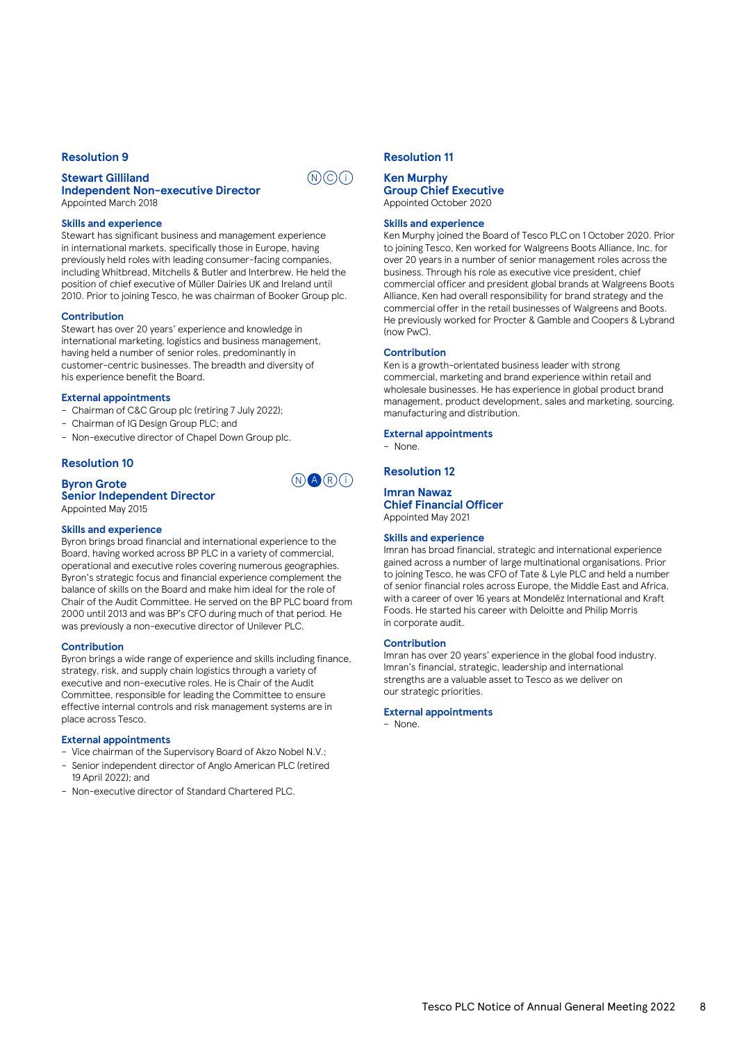# **Resolution 9**

# **Stewart Gilliland Independent Non-executive Director**

Appointed March 2018

#### **Skills and experience**

Stewart has significant business and management experience in international markets, specifically those in Europe, having previously held roles with leading consumer-facing companies, including Whitbread, Mitchells & Butler and Interbrew. He held the position of chief executive of Müller Dairies UK and Ireland until 2010. Prior to joining Tesco, he was chairman of Booker Group plc.

# **Contribution**

Stewart has over 20 years' experience and knowledge in international marketing, logistics and business management, having held a number of senior roles, predominantly in customer-centric businesses. The breadth and diversity of his experience benefit the Board.

#### **External appointments**

- Chairman of C&C Group plc (retiring 7 July 2022);
- Chairman of IG Design Group PLC; and
- Non-executive director of Chapel Down Group plc.

# **Resolution 10**

# **Byron Grote**

#### **Senior Independent Director** Appointed May 2015

#### **Skills and experience**

Byron brings broad financial and international experience to the Board, having worked across BP PLC in a variety of commercial, operational and executive roles covering numerous geographies. Byron's strategic focus and financial experience complement the balance of skills on the Board and make him ideal for the role of Chair of the Audit Committee. He served on the BP PLC board from 2000 until 2013 and was BP's CFO during much of that period. He was previously a non-executive director of Unilever PLC.

#### **Contribution**

Byron brings a wide range of experience and skills including finance, strategy, risk, and supply chain logistics through a variety of executive and non-executive roles. He is Chair of the Audit Committee, responsible for leading the Committee to ensure effective internal controls and risk management systems are in place across Tesco.

# **External appointments**

- Vice chairman of the Supervisory Board of Akzo Nobel N.V.;
- Senior independent director of Anglo American PLC (retired 19 April 2022); and
- Non-executive director of Standard Chartered PLC.

# **Resolution 11**

# **Ken Murphy Group Chief Executive** Appointed October 2020

#### **Skills and experience**

Ken Murphy joined the Board of Tesco PLC on 1 October 2020. Prior to joining Tesco, Ken worked for Walgreens Boots Alliance, Inc. for over 20 years in a number of senior management roles across the business. Through his role as executive vice president, chief commercial officer and president global brands at Walgreens Boots Alliance, Ken had overall responsibility for brand strategy and the commercial offer in the retail businesses of Walgreens and Boots. He previously worked for Procter & Gamble and Coopers & Lybrand (now PwC).

#### **Contribution**

Ken is a growth-orientated business leader with strong commercial, marketing and brand experience within retail and wholesale businesses. He has experience in global product brand management, product development, sales and marketing, sourcing, manufacturing and distribution.

**External appointments**

# **Resolution 12**

– None.

#### **Imran Nawaz Chief Financial Officer**

Appointed May 2021

# **Skills and experience**

Imran has broad financial, strategic and international experience gained across a number of large multinational organisations. Prior to joining Tesco, he was CFO of Tate & Lyle PLC and held a number of senior financial roles across Europe, the Middle East and Africa, with a career of over 16 years at Mondelēz International and Kraft Foods. He started his career with Deloitte and Philip Morris in corporate audit.

#### **Contribution**

Imran has over 20 years' experience in the global food industry. Imran's financial, strategic, leadership and international strengths are a valuable asset to Tesco as we deliver on our strategic priorities.

#### **External appointments**

– None.



 $(N)$  $($  $\widehat{C})$  $($  $\widehat{I})$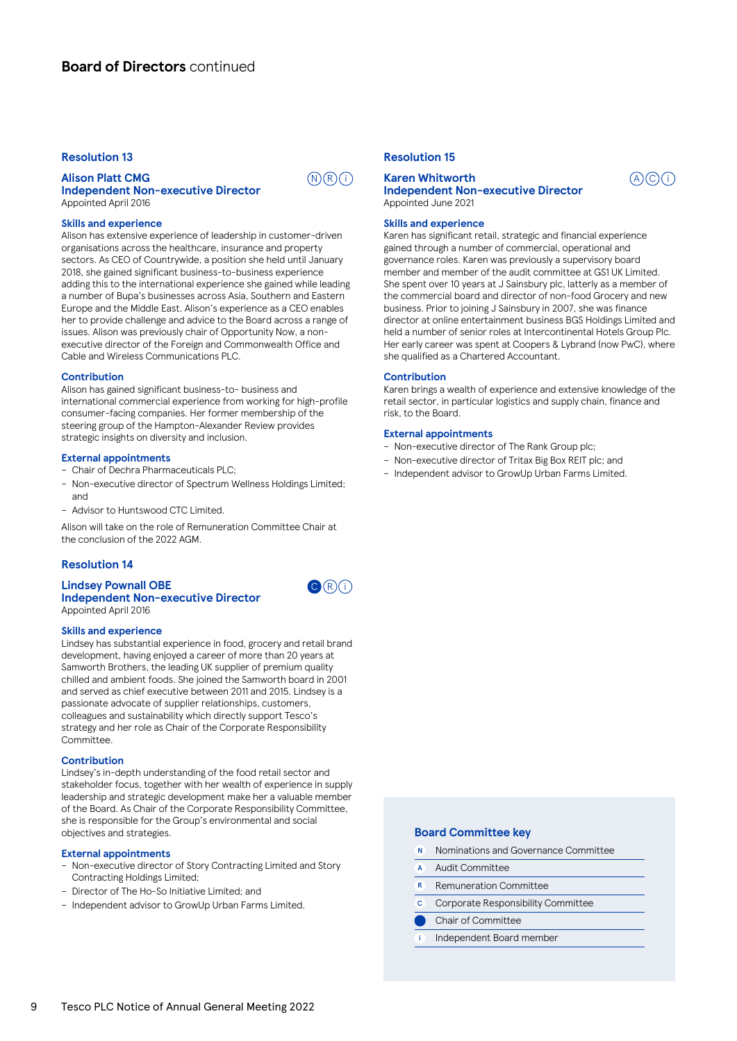# **Resolution 13**

# **Alison Platt CMG Independent Non-executive Director**

 $(N)$  $(R)$  $(i)$ 

 $\mathbf{C}(\mathsf{R})(i)$ 

# Appointed April 2016

# **Skills and experience**

Alison has extensive experience of leadership in customer-driven organisations across the healthcare, insurance and property sectors. As CEO of Countrywide, a position she held until January 2018, she gained significant business-to-business experience adding this to the international experience she gained while leading a number of Bupa's businesses across Asia, Southern and Eastern Europe and the Middle East. Alison's experience as a CEO enables her to provide challenge and advice to the Board across a range of issues. Alison was previously chair of Opportunity Now, a nonexecutive director of the Foreign and Commonwealth Office and Cable and Wireless Communications PLC.

#### **Contribution**

Alison has gained significant business-to- business and international commercial experience from working for high-profile consumer-facing companies. Her former membership of the steering group of the Hampton-Alexander Review provides strategic insights on diversity and inclusion.

#### **External appointments**

– Chair of Dechra Pharmaceuticals PLC;

- Non-executive director of Spectrum Wellness Holdings Limited; and
- Advisor to Huntswood CTC Limited.

Alison will take on the role of Remuneration Committee Chair at the conclusion of the 2022 AGM.

# **Resolution 14**

#### **Lindsey Pownall OBE Independent Non-executive Director** Appointed April 2016

#### **Skills and experience**

Lindsey has substantial experience in food, grocery and retail brand development, having enjoyed a career of more than 20 years at Samworth Brothers, the leading UK supplier of premium quality chilled and ambient foods. She joined the Samworth board in 2001 and served as chief executive between 2011 and 2015. Lindsey is a passionate advocate of supplier relationships, customers, colleagues and sustainability which directly support Tesco's strategy and her role as Chair of the Corporate Responsibility Committee.

#### **Contribution**

Lindsey's in-depth understanding of the food retail sector and stakeholder focus, together with her wealth of experience in supply leadership and strategic development make her a valuable member of the Board. As Chair of the Corporate Responsibility Committee, she is responsible for the Group's environmental and social objectives and strategies.

#### **External appointments**

- Non-executive director of Story Contracting Limited and Story Contracting Holdings Limited;
- Director of The Ho-So Initiative Limited; and
- Independent advisor to GrowUp Urban Farms Limited.

# **Resolution 15**

# **Karen Whitworth Independent Non-executive Director**

Appointed June 2021

# **Skills and experience**

Karen has significant retail, strategic and financial experience gained through a number of commercial, operational and governance roles. Karen was previously a supervisory board member and member of the audit committee at GS1 UK Limited. She spent over 10 years at J Sainsbury plc, latterly as a member of the commercial board and director of non-food Grocery and new business. Prior to joining J Sainsbury in 2007, she was finance director at online entertainment business BGS Holdings Limited and held a number of senior roles at Intercontinental Hotels Group Plc. Her early career was spent at Coopers & Lybrand (now PwC), where she qualified as a Chartered Accountant.

 $A)$  $O(i)$ 

#### **Contribution**

Karen brings a wealth of experience and extensive knowledge of the retail sector, in particular logistics and supply chain, finance and risk, to the Board.

# **External appointments**

- Non-executive director of The Rank Group plc;
- Non-executive director of Tritax Big Box REIT plc; and
- Independent advisor to GrowUp Urban Farms Limited.

# **Board Committee key**

- N Nominations and Governance Committee
- A Audit Committee
- R Remuneration Committee
- C Corporate Responsibility Committee
- Chair of Committee
- i Independent Board member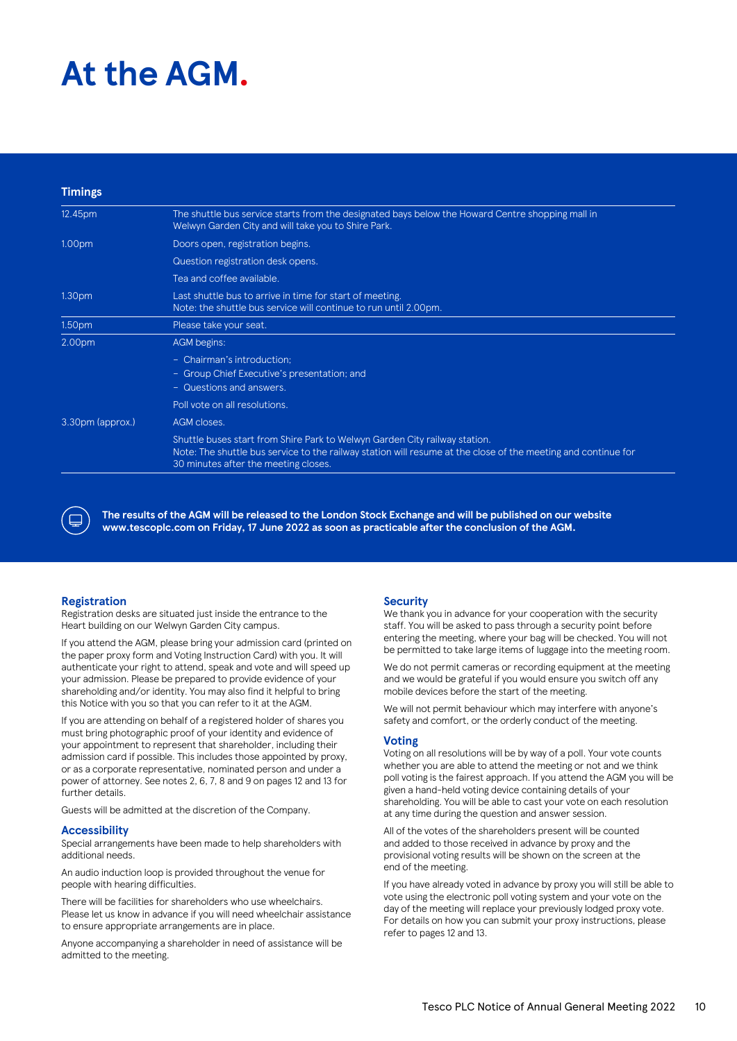# **At the AGM.**

| <b>Timings</b>     |                                                                                                                                                                                                                                     |
|--------------------|-------------------------------------------------------------------------------------------------------------------------------------------------------------------------------------------------------------------------------------|
| 12.45pm            | The shuttle bus service starts from the designated bays below the Howard Centre shopping mall in<br>Welwyn Garden City and will take you to Shire Park.                                                                             |
| 1.00pm             | Doors open, registration begins.                                                                                                                                                                                                    |
|                    | Question registration desk opens.                                                                                                                                                                                                   |
|                    | Tea and coffee available.                                                                                                                                                                                                           |
| 1.30 <sub>pm</sub> | Last shuttle bus to arrive in time for start of meeting.<br>Note: the shuttle bus service will continue to run until 2.00pm.                                                                                                        |
| 1.50pm             | Please take your seat.                                                                                                                                                                                                              |
| 2.00pm             | AGM begins:                                                                                                                                                                                                                         |
|                    | - Chairman's introduction;<br>- Group Chief Executive's presentation; and<br>- Questions and answers.                                                                                                                               |
|                    | Poll vote on all resolutions.                                                                                                                                                                                                       |
| 3.30pm (approx.)   | AGM closes.                                                                                                                                                                                                                         |
|                    | Shuttle buses start from Shire Park to Welwyn Garden City railway station.<br>Note: The shuttle bus service to the railway station will resume at the close of the meeting and continue for<br>30 minutes after the meeting closes. |



**The results of the AGM will be released to the London Stock Exchange and will be published on our website www.tescoplc.com on Friday, 17 June 2022 as soon as practicable after the conclusion of the AGM.**

# **Registration**

Registration desks are situated just inside the entrance to the Heart building on our Welwyn Garden City campus.

If you attend the AGM, please bring your admission card (printed on the paper proxy form and Voting Instruction Card) with you. It will authenticate your right to attend, speak and vote and will speed up your admission. Please be prepared to provide evidence of your shareholding and/or identity. You may also find it helpful to bring this Notice with you so that you can refer to it at the AGM.

If you are attending on behalf of a registered holder of shares you must bring photographic proof of your identity and evidence of your appointment to represent that shareholder, including their admission card if possible. This includes those appointed by proxy, or as a corporate representative, nominated person and under a power of attorney. See notes 2, 6, 7, 8 and 9 on pages 12 and 13 for further details.

Guests will be admitted at the discretion of the Company.

# **Accessibility**

Special arrangements have been made to help shareholders with additional needs.

An audio induction loop is provided throughout the venue for people with hearing difficulties.

There will be facilities for shareholders who use wheelchairs. Please let us know in advance if you will need wheelchair assistance to ensure appropriate arrangements are in place.

Anyone accompanying a shareholder in need of assistance will be admitted to the meeting.

# **Security**

We thank you in advance for your cooperation with the security staff. You will be asked to pass through a security point before entering the meeting, where your bag will be checked. You will not be permitted to take large items of luggage into the meeting room.

We do not permit cameras or recording equipment at the meeting and we would be grateful if you would ensure you switch off any mobile devices before the start of the meeting.

We will not permit behaviour which may interfere with anyone's safety and comfort, or the orderly conduct of the meeting.

# **Voting**

Voting on all resolutions will be by way of a poll. Your vote counts whether you are able to attend the meeting or not and we think poll voting is the fairest approach. If you attend the AGM you will be given a hand-held voting device containing details of your shareholding. You will be able to cast your vote on each resolution at any time during the question and answer session.

All of the votes of the shareholders present will be counted and added to those received in advance by proxy and the provisional voting results will be shown on the screen at the end of the meeting.

If you have already voted in advance by proxy you will still be able to vote using the electronic poll voting system and your vote on the day of the meeting will replace your previously lodged proxy vote. For details on how you can submit your proxy instructions, please refer to pages 12 and 13.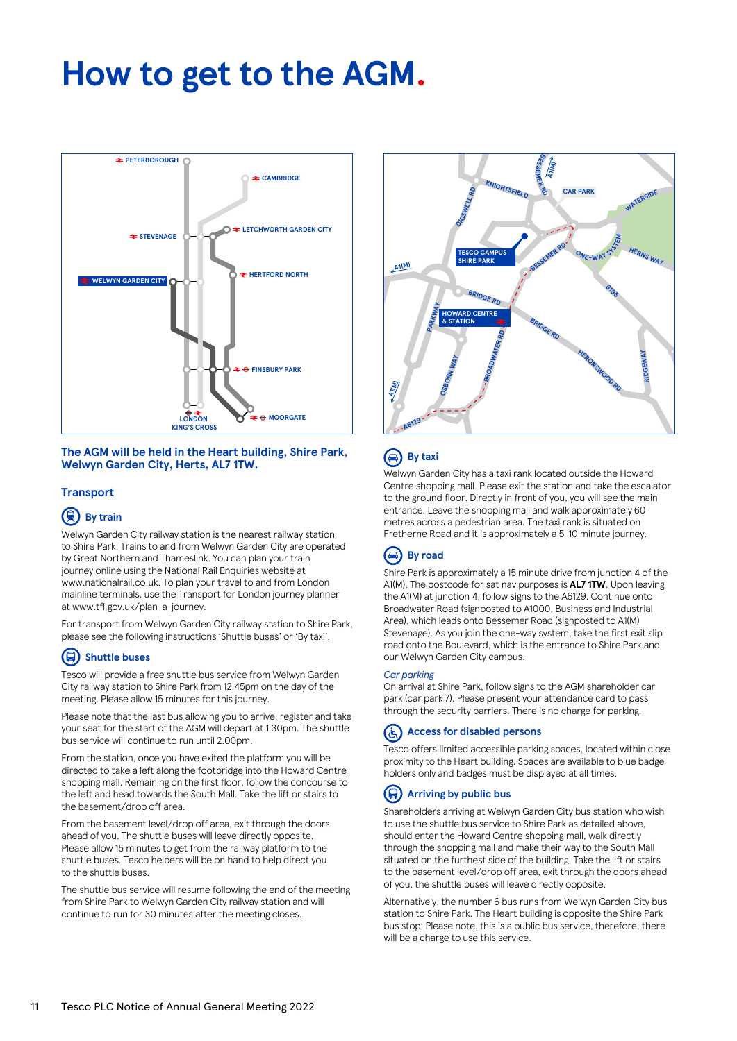# **How to get to the AGM.**



# **The AGM will be held in the Heart building, Shire Park, Welwyn Garden City, Herts, AL7 1TW.**

# **Transport**

# **(果)** By train

Welwyn Garden City railway station is the nearest railway station to Shire Park. Trains to and from Welwyn Garden City are operated by Great Northern and Thameslink. You can plan your train journey online using the National Rail Enquiries website at www.nationalrail.co.uk. To plan your travel to and from London mainline terminals, use the Transport for London journey planner at www.tfl.gov.uk/plan-a-journey.

For transport from Welwyn Garden City railway station to Shire Park, please see the following instructions 'Shuttle buses' or 'By taxi'.

# **Shuttle buses**

Tesco will provide a free shuttle bus service from Welwyn Garden City railway station to Shire Park from 12.45pm on the day of the meeting. Please allow 15 minutes for this journey.

Please note that the last bus allowing you to arrive, register and take your seat for the start of the AGM will depart at 1.30pm. The shuttle bus service will continue to run until 2.00pm.

From the station, once you have exited the platform you will be directed to take a left along the footbridge into the Howard Centre shopping mall. Remaining on the first floor, follow the concourse to the left and head towards the South Mall. Take the lift or stairs to the basement/drop off area.

From the basement level/drop off area, exit through the doors ahead of you. The shuttle buses will leave directly opposite. Please allow 15 minutes to get from the railway platform to the shuttle buses. Tesco helpers will be on hand to help direct you to the shuttle buses.

The shuttle bus service will resume following the end of the meeting from Shire Park to Welwyn Garden City railway station and will continue to run for 30 minutes after the meeting closes.



# **By taxi**

Welwyn Garden City has a taxi rank located outside the Howard Centre shopping mall. Please exit the station and take the escalator to the ground floor. Directly in front of you, you will see the main entrance. Leave the shopping mall and walk approximately 60 metres across a pedestrian area. The taxi rank is situated on Fretherne Road and it is approximately a 5-10 minute journey.

#### $\bigcirc$ **By road**

Shire Park is approximately a 15 minute drive from junction 4 of the A1(M). The postcode for sat nav purposes is **AL7 1TW**. Upon leaving the A1(M) at junction 4, follow signs to the A6129. Continue onto Broadwater Road (signposted to A1000, Business and Industrial Area), which leads onto Bessemer Road (signposted to A1(M) Stevenage). As you join the one-way system, take the first exit slip road onto the Boulevard, which is the entrance to Shire Park and our Welwyn Garden City campus.

# *Car parking*

On arrival at Shire Park, follow signs to the AGM shareholder car park (car park 7). Please present your attendance card to pass through the security barriers. There is no charge for parking.

#### **Access for disabled persons**  (હ્

Tesco offers limited accessible parking spaces, located within close proximity to the Heart building. Spaces are available to blue badge holders only and badges must be displayed at all times.

# **Arriving by public bus**

Shareholders arriving at Welwyn Garden City bus station who wish to use the shuttle bus service to Shire Park as detailed above, should enter the Howard Centre shopping mall, walk directly through the shopping mall and make their way to the South Mall situated on the furthest side of the building. Take the lift or stairs to the basement level/drop off area, exit through the doors ahead of you, the shuttle buses will leave directly opposite.

Alternatively, the number 6 bus runs from Welwyn Garden City bus station to Shire Park. The Heart building is opposite the Shire Park bus stop. Please note, this is a public bus service, therefore, there will be a charge to use this service.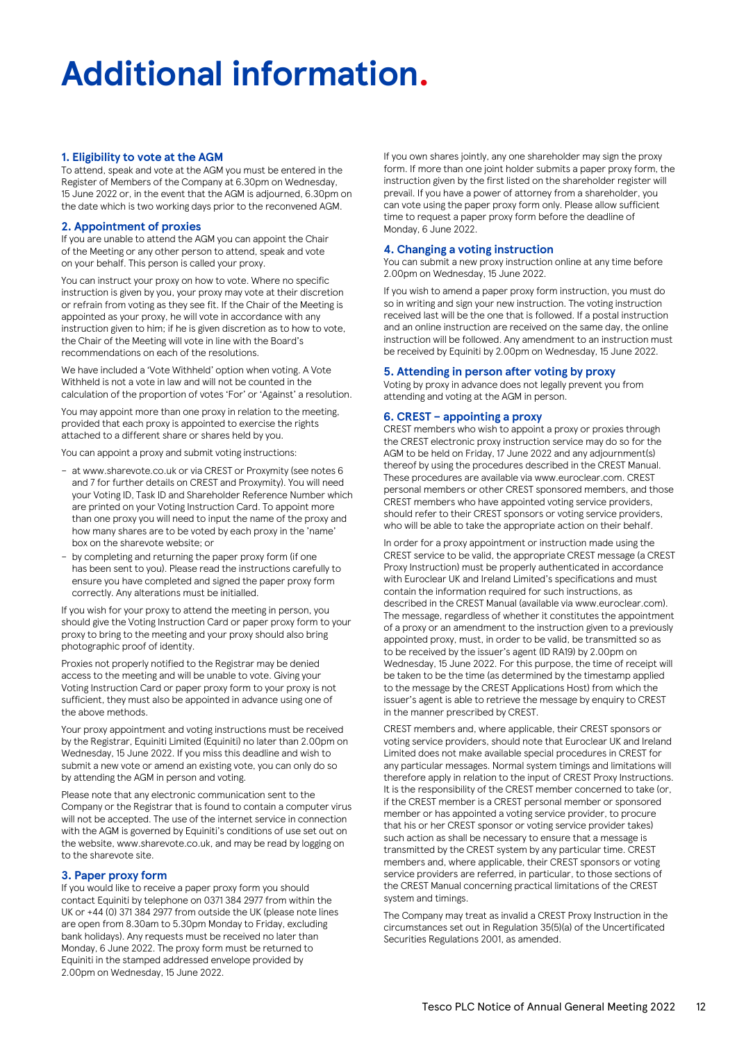# **Additional information.**

# **1. Eligibility to vote at the AGM**

To attend, speak and vote at the AGM you must be entered in the Register of Members of the Company at 6.30pm on Wednesday, 15 June 2022 or, in the event that the AGM is adjourned, 6.30pm on the date which is two working days prior to the reconvened AGM.

# **2. Appointment of proxies**

If you are unable to attend the AGM you can appoint the Chair of the Meeting or any other person to attend, speak and vote on your behalf. This person is called your proxy.

You can instruct your proxy on how to vote. Where no specific instruction is given by you, your proxy may vote at their discretion or refrain from voting as they see fit. If the Chair of the Meeting is appointed as your proxy, he will vote in accordance with any instruction given to him; if he is given discretion as to how to vote, the Chair of the Meeting will vote in line with the Board's recommendations on each of the resolutions.

We have included a 'Vote Withheld' option when voting. A Vote Withheld is not a vote in law and will not be counted in the calculation of the proportion of votes 'For' or 'Against' a resolution.

You may appoint more than one proxy in relation to the meeting, provided that each proxy is appointed to exercise the rights attached to a different share or shares held by you.

You can appoint a proxy and submit voting instructions:

- at www.sharevote.co.uk or via CREST or Proxymity (see notes 6 and 7 for further details on CREST and Proxymity). You will need your Voting ID, Task ID and Shareholder Reference Number which are printed on your Voting Instruction Card. To appoint more than one proxy you will need to input the name of the proxy and how many shares are to be voted by each proxy in the 'name' box on the sharevote website; or
- by completing and returning the paper proxy form (if one has been sent to you). Please read the instructions carefully to ensure you have completed and signed the paper proxy form correctly. Any alterations must be initialled.

If you wish for your proxy to attend the meeting in person, you should give the Voting Instruction Card or paper proxy form to your proxy to bring to the meeting and your proxy should also bring photographic proof of identity.

Proxies not properly notified to the Registrar may be denied access to the meeting and will be unable to vote. Giving your Voting Instruction Card or paper proxy form to your proxy is not sufficient, they must also be appointed in advance using one of the above methods.

Your proxy appointment and voting instructions must be received by the Registrar, Equiniti Limited (Equiniti) no later than 2.00pm on Wednesday, 15 June 2022. If you miss this deadline and wish to submit a new vote or amend an existing vote, you can only do so by attending the AGM in person and voting.

Please note that any electronic communication sent to the Company or the Registrar that is found to contain a computer virus will not be accepted. The use of the internet service in connection with the AGM is governed by Equiniti's conditions of use set out on the website, www.sharevote.co.uk, and may be read by logging on to the sharevote site.

# **3. Paper proxy form**

If you would like to receive a paper proxy form you should contact Equiniti by telephone on 0371 384 2977 from within the UK or +44 (0) 371 384 2977 from outside the UK (please note lines are open from 8.30am to 5.30pm Monday to Friday, excluding bank holidays). Any requests must be received no later than Monday, 6 June 2022. The proxy form must be returned to Equiniti in the stamped addressed envelope provided by 2.00pm on Wednesday, 15 June 2022.

If you own shares jointly, any one shareholder may sign the proxy form. If more than one joint holder submits a paper proxy form, the instruction given by the first listed on the shareholder register will prevail. If you have a power of attorney from a shareholder, you can vote using the paper proxy form only. Please allow sufficient time to request a paper proxy form before the deadline of Monday, 6 June 2022.

# **4. Changing a voting instruction**

You can submit a new proxy instruction online at any time before 2.00pm on Wednesday, 15 June 2022.

If you wish to amend a paper proxy form instruction, you must do so in writing and sign your new instruction. The voting instruction received last will be the one that is followed. If a postal instruction and an online instruction are received on the same day, the online instruction will be followed. Any amendment to an instruction must be received by Equiniti by 2.00pm on Wednesday, 15 June 2022.

# **5. Attending in person after voting by proxy**

Voting by proxy in advance does not legally prevent you from attending and voting at the AGM in person.

# **6. CREST – appointing a proxy**

CREST members who wish to appoint a proxy or proxies through the CREST electronic proxy instruction service may do so for the AGM to be held on Friday, 17 June 2022 and any adjournment(s) thereof by using the procedures described in the CREST Manual. These procedures are available via www.euroclear.com. CREST personal members or other CREST sponsored members, and those CREST members who have appointed voting service providers, should refer to their CREST sponsors or voting service providers, who will be able to take the appropriate action on their behalf.

In order for a proxy appointment or instruction made using the CREST service to be valid, the appropriate CREST message (a CREST Proxy Instruction) must be properly authenticated in accordance with Euroclear UK and Ireland Limited's specifications and must contain the information required for such instructions, as described in the CREST Manual (available via www.euroclear.com). The message, regardless of whether it constitutes the appointment of a proxy or an amendment to the instruction given to a previously appointed proxy, must, in order to be valid, be transmitted so as to be received by the issuer's agent (ID RA19) by 2.00pm on Wednesday, 15 June 2022. For this purpose, the time of receipt will be taken to be the time (as determined by the timestamp applied to the message by the CREST Applications Host) from which the issuer's agent is able to retrieve the message by enquiry to CREST in the manner prescribed by CREST.

CREST members and, where applicable, their CREST sponsors or voting service providers, should note that Euroclear UK and Ireland Limited does not make available special procedures in CREST for any particular messages. Normal system timings and limitations will therefore apply in relation to the input of CREST Proxy Instructions. It is the responsibility of the CREST member concerned to take (or, if the CREST member is a CREST personal member or sponsored member or has appointed a voting service provider, to procure that his or her CREST sponsor or voting service provider takes) such action as shall be necessary to ensure that a message is transmitted by the CREST system by any particular time. CREST members and, where applicable, their CREST sponsors or voting service providers are referred, in particular, to those sections of the CREST Manual concerning practical limitations of the CREST system and timings.

The Company may treat as invalid a CREST Proxy Instruction in the circumstances set out in Regulation 35(5)(a) of the Uncertificated Securities Regulations 2001, as amended.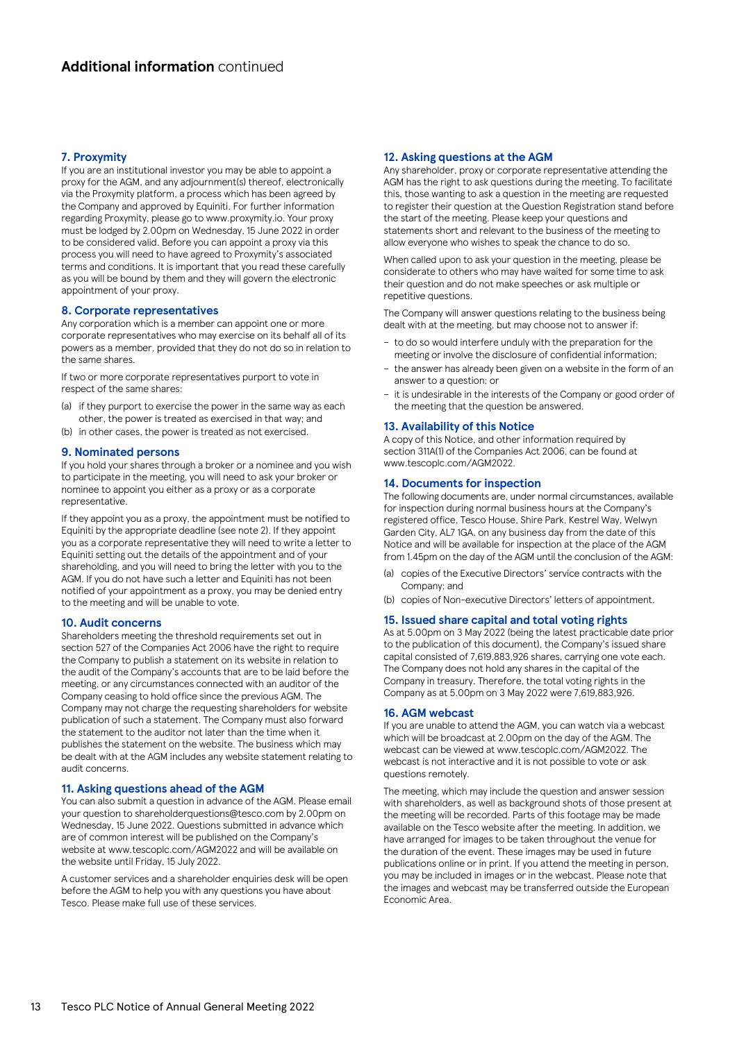# **7. Proxymity**

If you are an institutional investor you may be able to appoint a proxy for the AGM, and any adjournment(s) thereof, electronically via the Proxymity platform, a process which has been agreed by the Company and approved by Equiniti. For further information regarding Proxymity, please go to www.proxymity.io. Your proxy must be lodged by 2.00pm on Wednesday, 15 June 2022 in order to be considered valid. Before you can appoint a proxy via this process you will need to have agreed to Proxymity's associated terms and conditions. It is important that you read these carefully as you will be bound by them and they will govern the electronic appointment of your proxy.

# **8. Corporate representatives**

Any corporation which is a member can appoint one or more corporate representatives who may exercise on its behalf all of its powers as a member, provided that they do not do so in relation to the same shares.

If two or more corporate representatives purport to vote in respect of the same shares:

- (a) if they purport to exercise the power in the same way as each other, the power is treated as exercised in that way; and
- (b) in other cases, the power is treated as not exercised.

#### **9. Nominated persons**

If you hold your shares through a broker or a nominee and you wish to participate in the meeting, you will need to ask your broker or nominee to appoint you either as a proxy or as a corporate representative.

If they appoint you as a proxy, the appointment must be notified to Equiniti by the appropriate deadline (see note 2). If they appoint you as a corporate representative they will need to write a letter to Equiniti setting out the details of the appointment and of your shareholding, and you will need to bring the letter with you to the AGM. If you do not have such a letter and Equiniti has not been notified of your appointment as a proxy, you may be denied entry to the meeting and will be unable to vote.

#### **10. Audit concerns**

Shareholders meeting the threshold requirements set out in section 527 of the Companies Act 2006 have the right to require the Company to publish a statement on its website in relation to the audit of the Company's accounts that are to be laid before the meeting, or any circumstances connected with an auditor of the Company ceasing to hold office since the previous AGM. The Company may not charge the requesting shareholders for website publication of such a statement. The Company must also forward the statement to the auditor not later than the time when it publishes the statement on the website. The business which may be dealt with at the AGM includes any website statement relating to audit concerns.

## **11. Asking questions ahead of the AGM**

You can also submit a question in advance of the AGM. Please email your question to shareholderquestions@tesco.com by 2.00pm on Wednesday, 15 June 2022. Questions submitted in advance which are of common interest will be published on the Company's website at www.tescoplc.com/AGM2022 and will be available on the website until Friday, 15 July 2022.

A customer services and a shareholder enquiries desk will be open before the AGM to help you with any questions you have about Tesco. Please make full use of these services.

# **12. Asking questions at the AGM**

Any shareholder, proxy or corporate representative attending the AGM has the right to ask questions during the meeting. To facilitate this, those wanting to ask a question in the meeting are requested to register their question at the Question Registration stand before the start of the meeting. Please keep your questions and statements short and relevant to the business of the meeting to allow everyone who wishes to speak the chance to do so.

When called upon to ask your question in the meeting, please be considerate to others who may have waited for some time to ask their question and do not make speeches or ask multiple or repetitive questions.

The Company will answer questions relating to the business being dealt with at the meeting, but may choose not to answer if:

- to do so would interfere unduly with the preparation for the meeting or involve the disclosure of confidential information;
- the answer has already been given on a website in the form of an answer to a question; or
- it is undesirable in the interests of the Company or good order of the meeting that the question be answered.

# **13. Availability of this Notice**

A copy of this Notice, and other information required by section 311A(1) of the Companies Act 2006, can be found at www.tescoplc.com/AGM2022.

# **14. Documents for inspection**

The following documents are, under normal circumstances, available for inspection during normal business hours at the Company's registered office, Tesco House, Shire Park, Kestrel Way, Welwyn Garden City, AL7 1GA, on any business day from the date of this Notice and will be available for inspection at the place of the AGM from 1.45pm on the day of the AGM until the conclusion of the AGM:

- (a) copies of the Executive Directors' service contracts with the Company; and
- (b) copies of Non-executive Directors' letters of appointment.

#### **15. Issued share capital and total voting rights**

As at 5.00pm on 3 May 2022 (being the latest practicable date prior to the publication of this document), the Company's issued share capital consisted of 7,619,883,926 shares, carrying one vote each. The Company does not hold any shares in the capital of the Company in treasury. Therefore, the total voting rights in the Company as at 5.00pm on 3 May 2022 were 7,619,883,926.

# **16. AGM webcast**

If you are unable to attend the AGM, you can watch via a webcast which will be broadcast at 2.00pm on the day of the AGM. The webcast can be viewed at www.tescoplc.com/AGM2022. The webcast is not interactive and it is not possible to vote or ask questions remotely.

The meeting, which may include the question and answer session with shareholders, as well as background shots of those present at the meeting will be recorded. Parts of this footage may be made available on the Tesco website after the meeting. In addition, we have arranged for images to be taken throughout the venue for the duration of the event. These images may be used in future publications online or in print. If you attend the meeting in person, you may be included in images or in the webcast. Please note that the images and webcast may be transferred outside the European Economic Area.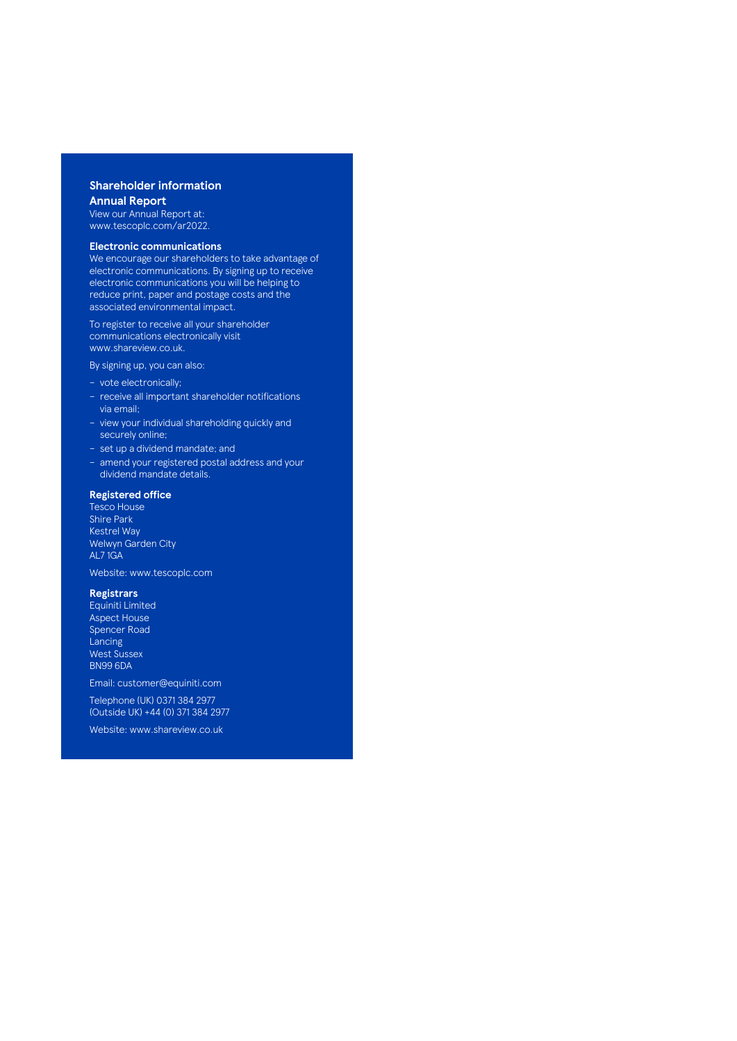# **Shareholder information Annual Report**

View our Annual Report at: [www.tescoplc.com/ar2022.](https://www.tescoplc.com/ar2022)

#### **Electronic communications**

We encourage our shareholders to take advantage of electronic communications. By signing up to receive electronic communications you will be helping to reduce print, paper and postage costs and the associated environmental impact.

To register to receive all your shareholder communications electronically visit [www.shareview.co.uk.](https://www.shareview.co.uk)

By signing up, you can also:

- vote electronically;
- receive all important shareholder notifications via email;
- view your individual shareholding quickly and securely online;
- set up a dividend mandate; and
- amend your registered postal address and your dividend mandate details.

# **Registered office**

Tesco House Shire Park Kestrel Way Welwyn Garden City AL7 1GA

Website: [www.tescoplc.com](https://www.tescoplc.com)

# **Registrars**

Equiniti Limited Aspect House Spencer Road Lancing West Sussex BN99 6DA

Email: [customer@equiniti.com](mailto:customer%40equiniti.com?subject=) Telephone (UK) 0371 384 2977 (Outside UK) +44 (0) 371 384 2977

Website: [www.shareview.co.uk](https://www.shareview.co.uk)